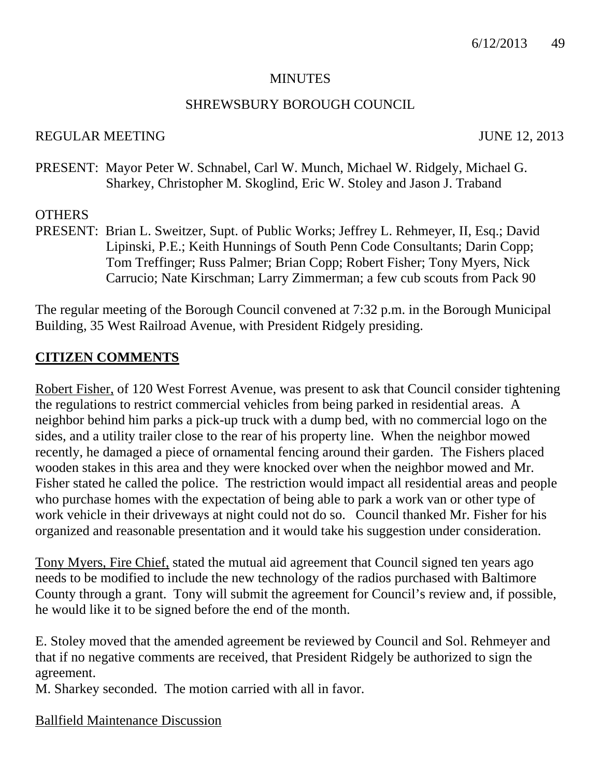#### **MINUTES**

#### SHREWSBURY BOROUGH COUNCIL

#### REGULAR MEETING JUNE 12, 2013

PRESENT: Mayor Peter W. Schnabel, Carl W. Munch, Michael W. Ridgely, Michael G. Sharkey, Christopher M. Skoglind, Eric W. Stoley and Jason J. Traband

#### **OTHERS**

PRESENT: Brian L. Sweitzer, Supt. of Public Works; Jeffrey L. Rehmeyer, II, Esq.; David Lipinski, P.E.; Keith Hunnings of South Penn Code Consultants; Darin Copp; Tom Treffinger; Russ Palmer; Brian Copp; Robert Fisher; Tony Myers, Nick Carrucio; Nate Kirschman; Larry Zimmerman; a few cub scouts from Pack 90

The regular meeting of the Borough Council convened at 7:32 p.m. in the Borough Municipal Building, 35 West Railroad Avenue, with President Ridgely presiding.

#### **CITIZEN COMMENTS**

Robert Fisher, of 120 West Forrest Avenue, was present to ask that Council consider tightening the regulations to restrict commercial vehicles from being parked in residential areas. A neighbor behind him parks a pick-up truck with a dump bed, with no commercial logo on the sides, and a utility trailer close to the rear of his property line. When the neighbor mowed recently, he damaged a piece of ornamental fencing around their garden. The Fishers placed wooden stakes in this area and they were knocked over when the neighbor mowed and Mr. Fisher stated he called the police. The restriction would impact all residential areas and people who purchase homes with the expectation of being able to park a work van or other type of work vehicle in their driveways at night could not do so. Council thanked Mr. Fisher for his organized and reasonable presentation and it would take his suggestion under consideration.

Tony Myers, Fire Chief, stated the mutual aid agreement that Council signed ten years ago needs to be modified to include the new technology of the radios purchased with Baltimore County through a grant. Tony will submit the agreement for Council's review and, if possible, he would like it to be signed before the end of the month.

E. Stoley moved that the amended agreement be reviewed by Council and Sol. Rehmeyer and that if no negative comments are received, that President Ridgely be authorized to sign the agreement.

M. Sharkey seconded. The motion carried with all in favor.

Ballfield Maintenance Discussion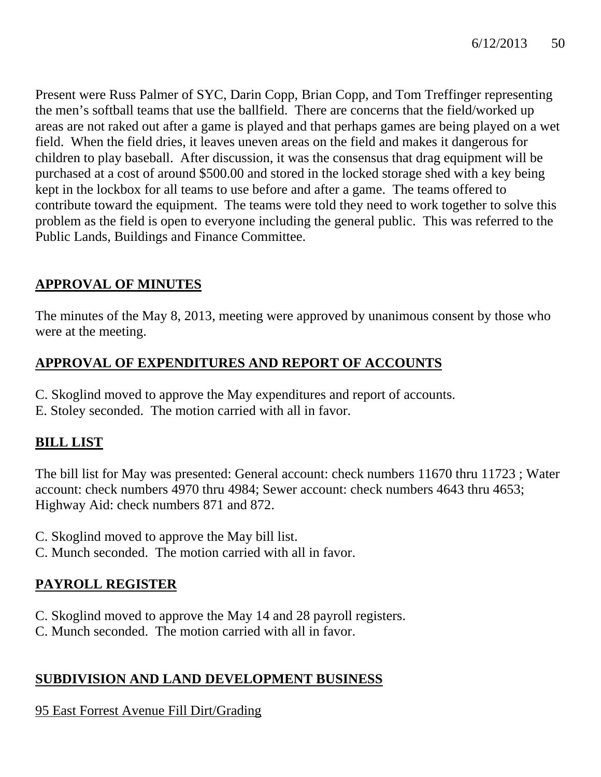Present were Russ Palmer of SYC, Darin Copp, Brian Copp, and Tom Treffinger representing the men's softball teams that use the ballfield. There are concerns that the field/worked up areas are not raked out after a game is played and that perhaps games are being played on a wet field. When the field dries, it leaves uneven areas on the field and makes it dangerous for children to play baseball. After discussion, it was the consensus that drag equipment will be purchased at a cost of around \$500.00 and stored in the locked storage shed with a key being kept in the lockbox for all teams to use before and after a game. The teams offered to contribute toward the equipment. The teams were told they need to work together to solve this problem as the field is open to everyone including the general public. This was referred to the Public Lands, Buildings and Finance Committee.

# **APPROVAL OF MINUTES**

The minutes of the May 8, 2013, meeting were approved by unanimous consent by those who were at the meeting.

# **APPROVAL OF EXPENDITURES AND REPORT OF ACCOUNTS**

- C. Skoglind moved to approve the May expenditures and report of accounts.
- E. Stoley seconded. The motion carried with all in favor.

# **BILL LIST**

The bill list for May was presented: General account: check numbers 11670 thru 11723 ; Water account: check numbers 4970 thru 4984; Sewer account: check numbers 4643 thru 4653; Highway Aid: check numbers 871 and 872.

- C. Skoglind moved to approve the May bill list.
- C. Munch seconded. The motion carried with all in favor.

# **PAYROLL REGISTER**

- C. Skoglind moved to approve the May 14 and 28 payroll registers.
- C. Munch seconded. The motion carried with all in favor.

# **SUBDIVISION AND LAND DEVELOPMENT BUSINESS**

95 East Forrest Avenue Fill Dirt/Grading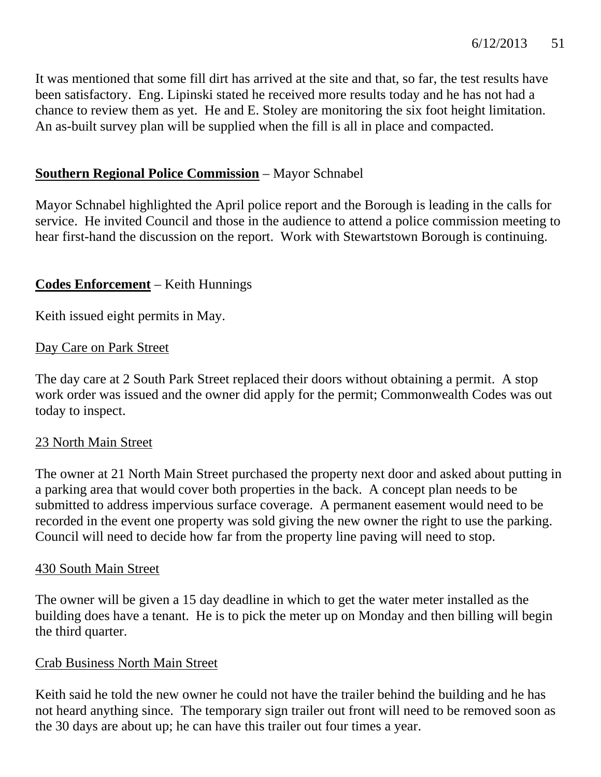It was mentioned that some fill dirt has arrived at the site and that, so far, the test results have been satisfactory. Eng. Lipinski stated he received more results today and he has not had a chance to review them as yet. He and E. Stoley are monitoring the six foot height limitation. An as-built survey plan will be supplied when the fill is all in place and compacted.

## **Southern Regional Police Commission** – Mayor Schnabel

Mayor Schnabel highlighted the April police report and the Borough is leading in the calls for service. He invited Council and those in the audience to attend a police commission meeting to hear first-hand the discussion on the report. Work with Stewartstown Borough is continuing.

# **Codes Enforcement** – Keith Hunnings

Keith issued eight permits in May.

## Day Care on Park Street

The day care at 2 South Park Street replaced their doors without obtaining a permit. A stop work order was issued and the owner did apply for the permit; Commonwealth Codes was out today to inspect.

## 23 North Main Street

The owner at 21 North Main Street purchased the property next door and asked about putting in a parking area that would cover both properties in the back. A concept plan needs to be submitted to address impervious surface coverage. A permanent easement would need to be recorded in the event one property was sold giving the new owner the right to use the parking. Council will need to decide how far from the property line paving will need to stop.

## 430 South Main Street

The owner will be given a 15 day deadline in which to get the water meter installed as the building does have a tenant. He is to pick the meter up on Monday and then billing will begin the third quarter.

## Crab Business North Main Street

Keith said he told the new owner he could not have the trailer behind the building and he has not heard anything since. The temporary sign trailer out front will need to be removed soon as the 30 days are about up; he can have this trailer out four times a year.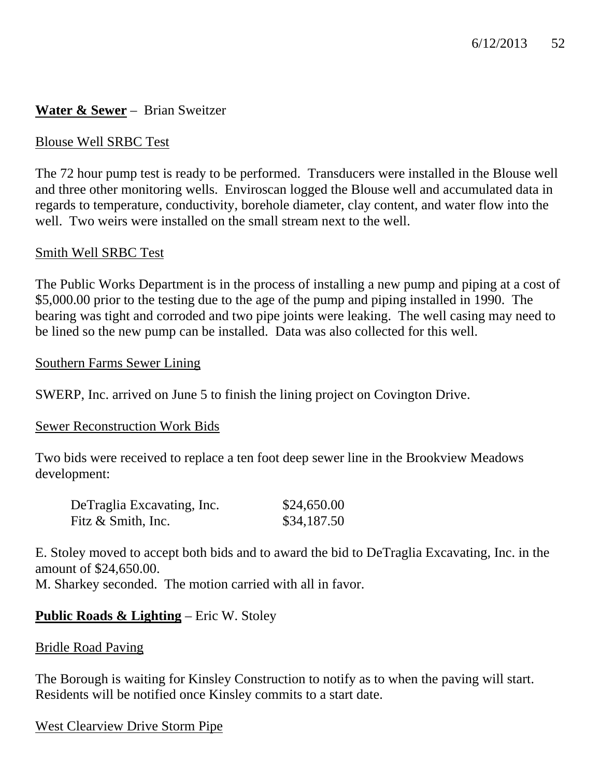# **Water & Sewer** – Brian Sweitzer

## Blouse Well SRBC Test

The 72 hour pump test is ready to be performed. Transducers were installed in the Blouse well and three other monitoring wells. Enviroscan logged the Blouse well and accumulated data in regards to temperature, conductivity, borehole diameter, clay content, and water flow into the well. Two weirs were installed on the small stream next to the well.

#### Smith Well SRBC Test

The Public Works Department is in the process of installing a new pump and piping at a cost of \$5,000.00 prior to the testing due to the age of the pump and piping installed in 1990. The bearing was tight and corroded and two pipe joints were leaking. The well casing may need to be lined so the new pump can be installed. Data was also collected for this well.

#### Southern Farms Sewer Lining

SWERP, Inc. arrived on June 5 to finish the lining project on Covington Drive.

#### Sewer Reconstruction Work Bids

Two bids were received to replace a ten foot deep sewer line in the Brookview Meadows development:

| DeTraglia Excavating, Inc. | \$24,650.00 |
|----------------------------|-------------|
| Fitz & Smith, Inc.         | \$34,187.50 |

E. Stoley moved to accept both bids and to award the bid to DeTraglia Excavating, Inc. in the amount of \$24,650.00.

M. Sharkey seconded. The motion carried with all in favor.

# **Public Roads & Lighting** – Eric W. Stoley

#### Bridle Road Paving

The Borough is waiting for Kinsley Construction to notify as to when the paving will start. Residents will be notified once Kinsley commits to a start date.

West Clearview Drive Storm Pipe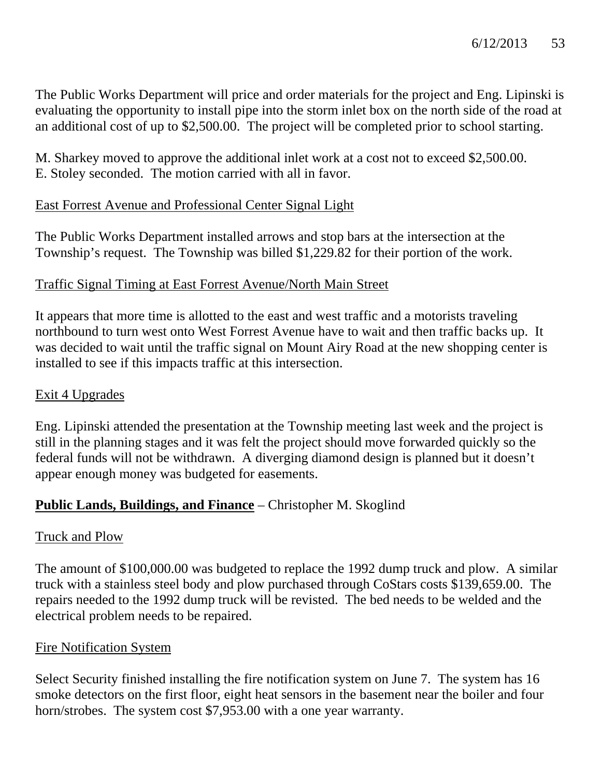The Public Works Department will price and order materials for the project and Eng. Lipinski is evaluating the opportunity to install pipe into the storm inlet box on the north side of the road at an additional cost of up to \$2,500.00. The project will be completed prior to school starting.

M. Sharkey moved to approve the additional inlet work at a cost not to exceed \$2,500.00. E. Stoley seconded. The motion carried with all in favor.

# East Forrest Avenue and Professional Center Signal Light

The Public Works Department installed arrows and stop bars at the intersection at the Township's request. The Township was billed \$1,229.82 for their portion of the work.

# Traffic Signal Timing at East Forrest Avenue/North Main Street

It appears that more time is allotted to the east and west traffic and a motorists traveling northbound to turn west onto West Forrest Avenue have to wait and then traffic backs up. It was decided to wait until the traffic signal on Mount Airy Road at the new shopping center is installed to see if this impacts traffic at this intersection.

# Exit 4 Upgrades

Eng. Lipinski attended the presentation at the Township meeting last week and the project is still in the planning stages and it was felt the project should move forwarded quickly so the federal funds will not be withdrawn. A diverging diamond design is planned but it doesn't appear enough money was budgeted for easements.

# **Public Lands, Buildings, and Finance** – Christopher M. Skoglind

## Truck and Plow

The amount of \$100,000.00 was budgeted to replace the 1992 dump truck and plow. A similar truck with a stainless steel body and plow purchased through CoStars costs \$139,659.00. The repairs needed to the 1992 dump truck will be revisted. The bed needs to be welded and the electrical problem needs to be repaired.

## Fire Notification System

Select Security finished installing the fire notification system on June 7. The system has 16 smoke detectors on the first floor, eight heat sensors in the basement near the boiler and four horn/strobes. The system cost \$7,953.00 with a one year warranty.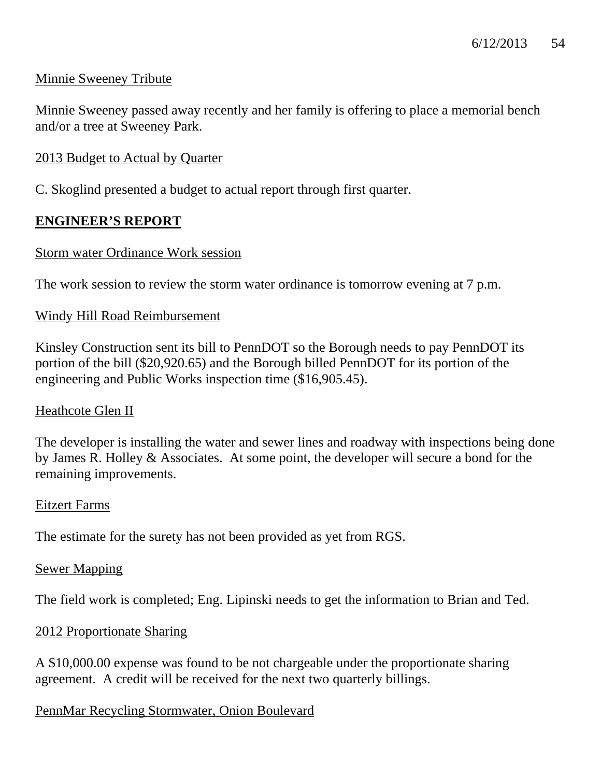# Minnie Sweeney Tribute

Minnie Sweeney passed away recently and her family is offering to place a memorial bench and/or a tree at Sweeney Park.

## 2013 Budget to Actual by Quarter

C. Skoglind presented a budget to actual report through first quarter.

## **ENGINEER'S REPORT**

#### Storm water Ordinance Work session

The work session to review the storm water ordinance is tomorrow evening at 7 p.m.

#### Windy Hill Road Reimbursement

Kinsley Construction sent its bill to PennDOT so the Borough needs to pay PennDOT its portion of the bill (\$20,920.65) and the Borough billed PennDOT for its portion of the engineering and Public Works inspection time (\$16,905.45).

#### Heathcote Glen II

The developer is installing the water and sewer lines and roadway with inspections being done by James R. Holley & Associates. At some point, the developer will secure a bond for the remaining improvements.

#### Eitzert Farms

The estimate for the surety has not been provided as yet from RGS.

#### Sewer Mapping

The field work is completed; Eng. Lipinski needs to get the information to Brian and Ted.

## 2012 Proportionate Sharing

A \$10,000.00 expense was found to be not chargeable under the proportionate sharing agreement. A credit will be received for the next two quarterly billings.

## PennMar Recycling Stormwater, Onion Boulevard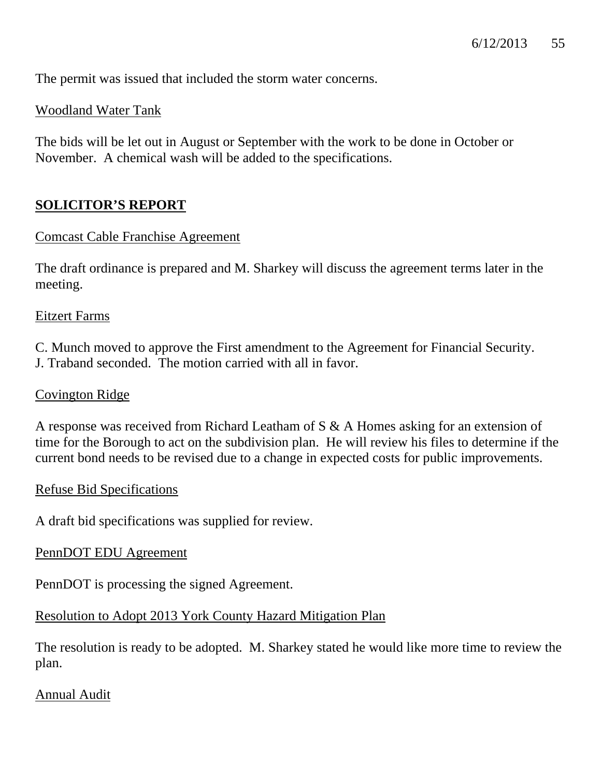The permit was issued that included the storm water concerns.

# Woodland Water Tank

The bids will be let out in August or September with the work to be done in October or November. A chemical wash will be added to the specifications.

# **SOLICITOR'S REPORT**

## Comcast Cable Franchise Agreement

The draft ordinance is prepared and M. Sharkey will discuss the agreement terms later in the meeting.

#### Eitzert Farms

C. Munch moved to approve the First amendment to the Agreement for Financial Security. J. Traband seconded. The motion carried with all in favor.

### Covington Ridge

A response was received from Richard Leatham of S & A Homes asking for an extension of time for the Borough to act on the subdivision plan. He will review his files to determine if the current bond needs to be revised due to a change in expected costs for public improvements.

#### Refuse Bid Specifications

A draft bid specifications was supplied for review.

## PennDOT EDU Agreement

PennDOT is processing the signed Agreement.

# Resolution to Adopt 2013 York County Hazard Mitigation Plan

The resolution is ready to be adopted. M. Sharkey stated he would like more time to review the plan.

## Annual Audit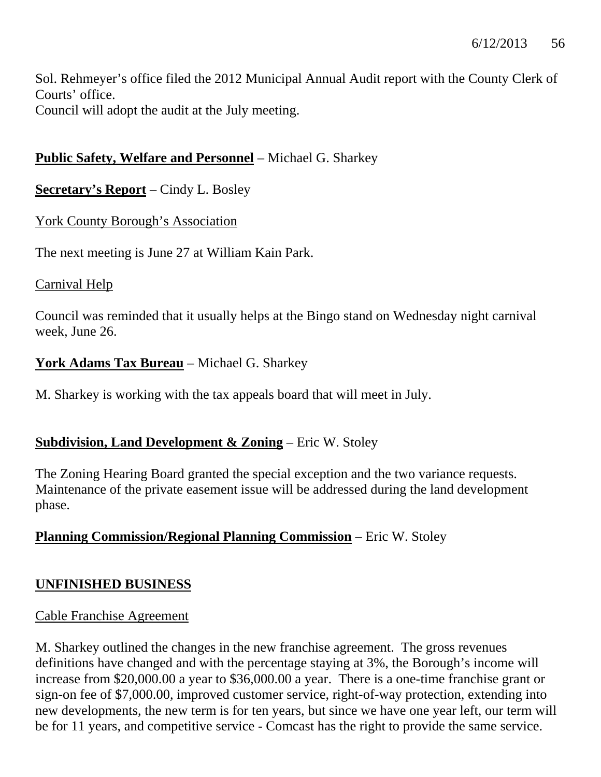Sol. Rehmeyer's office filed the 2012 Municipal Annual Audit report with the County Clerk of Courts' office. Council will adopt the audit at the July meeting.

# **Public Safety, Welfare and Personnel** – Michael G. Sharkey

# **Secretary's Report** – Cindy L. Bosley

# York County Borough's Association

The next meeting is June 27 at William Kain Park.

## Carnival Help

Council was reminded that it usually helps at the Bingo stand on Wednesday night carnival week, June 26.

# **York Adams Tax Bureau** – Michael G. Sharkey

M. Sharkey is working with the tax appeals board that will meet in July.

# **Subdivision, Land Development & Zoning** – Eric W. Stoley

The Zoning Hearing Board granted the special exception and the two variance requests. Maintenance of the private easement issue will be addressed during the land development phase.

# **Planning Commission/Regional Planning Commission** – Eric W. Stoley

## **UNFINISHED BUSINESS**

## Cable Franchise Agreement

M. Sharkey outlined the changes in the new franchise agreement. The gross revenues definitions have changed and with the percentage staying at 3%, the Borough's income will increase from \$20,000.00 a year to \$36,000.00 a year. There is a one-time franchise grant or sign-on fee of \$7,000.00, improved customer service, right-of-way protection, extending into new developments, the new term is for ten years, but since we have one year left, our term will be for 11 years, and competitive service - Comcast has the right to provide the same service.